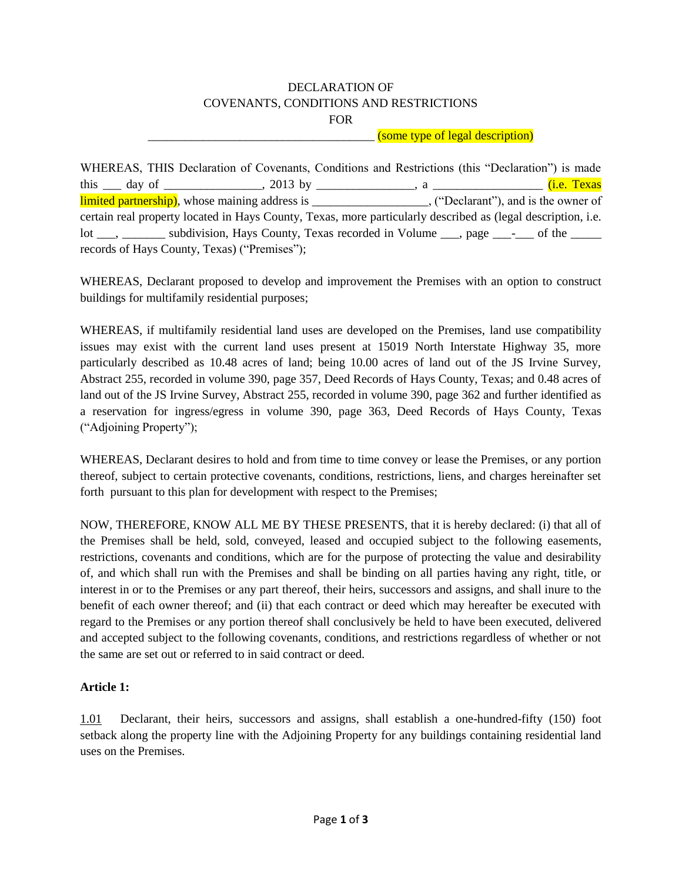## DECLARATION OF COVENANTS, CONDITIONS AND RESTRICTIONS FOR

## \_\_\_\_\_\_\_\_\_\_\_\_\_\_\_\_\_\_\_\_\_\_\_\_\_\_\_\_\_\_\_\_\_\_\_\_\_ (some type of legal description)

WHEREAS, THIS Declaration of Covenants, Conditions and Restrictions (this "Declaration") is made this 100 day of 1 2013 by 100 million and 2013 by 2013 by 2013 by 2014 and 2018 and 2018 and 2018 and 2018 and 2018 and 2018 and 2018 and 2018 and 2018 and 2018 and 2018 and 2018 and 2018 and 2018 and 2018 and 2018 and 201 limited partnership), whose maining address is \_\_\_\_\_\_\_\_\_\_\_\_\_\_\_\_\_\_, ("Declarant"), and is the owner of certain real property located in Hays County, Texas, more particularly described as (legal description, i.e. lot \_\_\_, \_\_\_\_\_\_\_\_ subdivision, Hays County, Texas recorded in Volume \_\_\_, page \_\_\_-\_\_\_ of the \_\_\_\_\_ records of Hays County, Texas) ("Premises");

WHEREAS, Declarant proposed to develop and improvement the Premises with an option to construct buildings for multifamily residential purposes;

WHEREAS, if multifamily residential land uses are developed on the Premises, land use compatibility issues may exist with the current land uses present at 15019 North Interstate Highway 35, more particularly described as 10.48 acres of land; being 10.00 acres of land out of the JS Irvine Survey, Abstract 255, recorded in volume 390, page 357, Deed Records of Hays County, Texas; and 0.48 acres of land out of the JS Irvine Survey, Abstract 255, recorded in volume 390, page 362 and further identified as a reservation for ingress/egress in volume 390, page 363, Deed Records of Hays County, Texas ("Adjoining Property");

WHEREAS, Declarant desires to hold and from time to time convey or lease the Premises, or any portion thereof, subject to certain protective covenants, conditions, restrictions, liens, and charges hereinafter set forth pursuant to this plan for development with respect to the Premises;

NOW, THEREFORE, KNOW ALL ME BY THESE PRESENTS, that it is hereby declared: (i) that all of the Premises shall be held, sold, conveyed, leased and occupied subject to the following easements, restrictions, covenants and conditions, which are for the purpose of protecting the value and desirability of, and which shall run with the Premises and shall be binding on all parties having any right, title, or interest in or to the Premises or any part thereof, their heirs, successors and assigns, and shall inure to the benefit of each owner thereof; and (ii) that each contract or deed which may hereafter be executed with regard to the Premises or any portion thereof shall conclusively be held to have been executed, delivered and accepted subject to the following covenants, conditions, and restrictions regardless of whether or not the same are set out or referred to in said contract or deed.

## **Article 1:**

1.01 Declarant, their heirs, successors and assigns, shall establish a one-hundred-fifty (150) foot setback along the property line with the Adjoining Property for any buildings containing residential land uses on the Premises.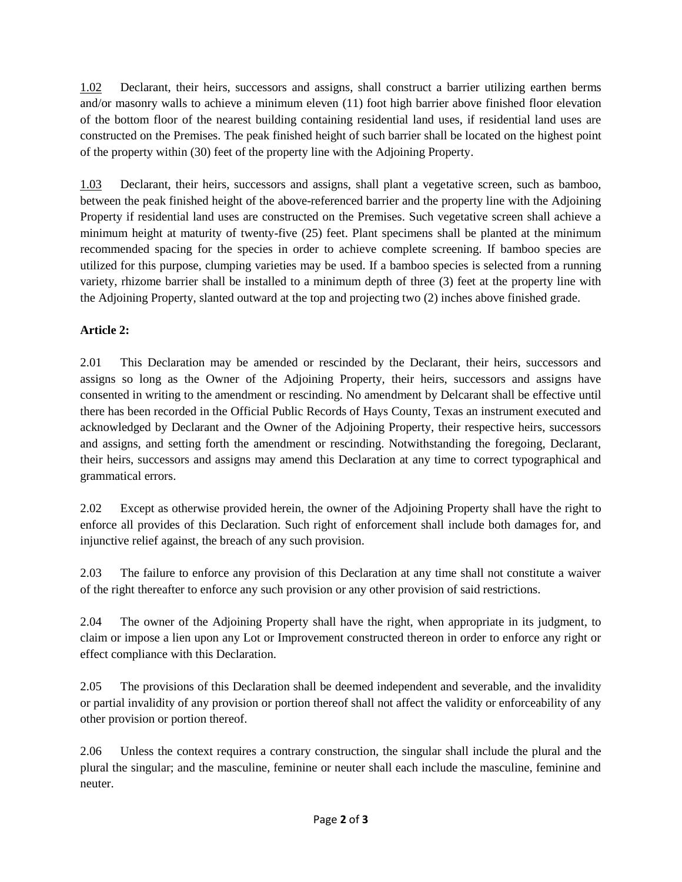1.02 Declarant, their heirs, successors and assigns, shall construct a barrier utilizing earthen berms and/or masonry walls to achieve a minimum eleven (11) foot high barrier above finished floor elevation of the bottom floor of the nearest building containing residential land uses, if residential land uses are constructed on the Premises. The peak finished height of such barrier shall be located on the highest point of the property within (30) feet of the property line with the Adjoining Property.

1.03 Declarant, their heirs, successors and assigns, shall plant a vegetative screen, such as bamboo, between the peak finished height of the above-referenced barrier and the property line with the Adjoining Property if residential land uses are constructed on the Premises. Such vegetative screen shall achieve a minimum height at maturity of twenty-five (25) feet. Plant specimens shall be planted at the minimum recommended spacing for the species in order to achieve complete screening. If bamboo species are utilized for this purpose, clumping varieties may be used. If a bamboo species is selected from a running variety, rhizome barrier shall be installed to a minimum depth of three (3) feet at the property line with the Adjoining Property, slanted outward at the top and projecting two (2) inches above finished grade.

## **Article 2:**

2.01 This Declaration may be amended or rescinded by the Declarant, their heirs, successors and assigns so long as the Owner of the Adjoining Property, their heirs, successors and assigns have consented in writing to the amendment or rescinding. No amendment by Delcarant shall be effective until there has been recorded in the Official Public Records of Hays County, Texas an instrument executed and acknowledged by Declarant and the Owner of the Adjoining Property, their respective heirs, successors and assigns, and setting forth the amendment or rescinding. Notwithstanding the foregoing, Declarant, their heirs, successors and assigns may amend this Declaration at any time to correct typographical and grammatical errors.

2.02 Except as otherwise provided herein, the owner of the Adjoining Property shall have the right to enforce all provides of this Declaration. Such right of enforcement shall include both damages for, and injunctive relief against, the breach of any such provision.

2.03 The failure to enforce any provision of this Declaration at any time shall not constitute a waiver of the right thereafter to enforce any such provision or any other provision of said restrictions.

2.04 The owner of the Adjoining Property shall have the right, when appropriate in its judgment, to claim or impose a lien upon any Lot or Improvement constructed thereon in order to enforce any right or effect compliance with this Declaration.

2.05 The provisions of this Declaration shall be deemed independent and severable, and the invalidity or partial invalidity of any provision or portion thereof shall not affect the validity or enforceability of any other provision or portion thereof.

2.06 Unless the context requires a contrary construction, the singular shall include the plural and the plural the singular; and the masculine, feminine or neuter shall each include the masculine, feminine and neuter.